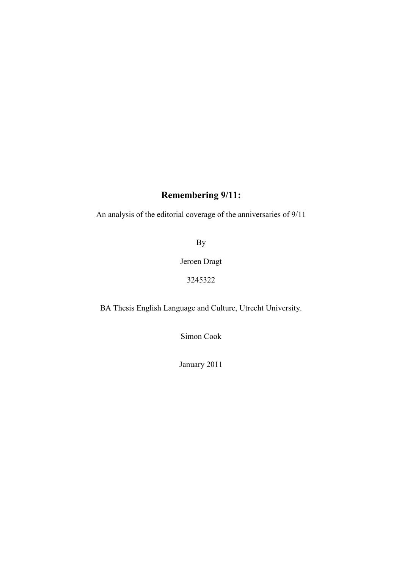# **Remembering 9/11:**

An analysis of the editorial coverage of the anniversaries of 9/11

By

Jeroen Dragt

3245322

BA Thesis English Language and Culture, Utrecht University.

Simon Cook

January 2011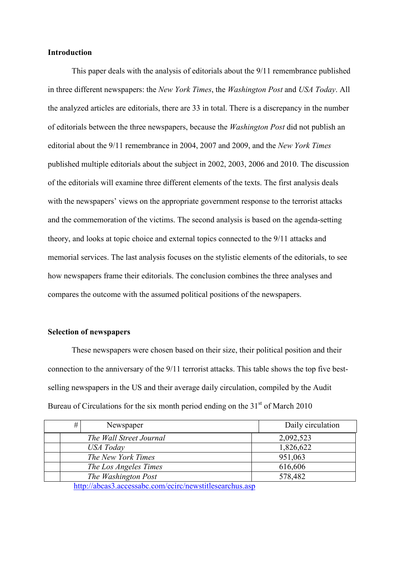# **Introduction**

 This paper deals with the analysis of editorials about the 9/11 remembrance published in three different newspapers: the *New York Times*, the *Washington Post* and *USA Today*. All the analyzed articles are editorials, there are 33 in total. There is a discrepancy in the number of editorials between the three newspapers, because the *Washington Post* did not publish an editorial about the 9/11 remembrance in 2004, 2007 and 2009, and the *New York Times* published multiple editorials about the subject in 2002, 2003, 2006 and 2010. The discussion of the editorials will examine three different elements of the texts. The first analysis deals with the newspapers' views on the appropriate government response to the terrorist attacks and the commemoration of the victims. The second analysis is based on the agenda-setting theory, and looks at topic choice and external topics connected to the 9/11 attacks and memorial services. The last analysis focuses on the stylistic elements of the editorials, to see how newspapers frame their editorials. The conclusion combines the three analyses and compares the outcome with the assumed political positions of the newspapers.

## **Selection of newspapers**

These newspapers were chosen based on their size, their political position and their connection to the anniversary of the 9/11 terrorist attacks. This table shows the top five bestselling newspapers in the US and their average daily circulation, compiled by the Audit Bureau of Circulations for the six month period ending on the  $31<sup>st</sup>$  of March 2010

| # | Newspaper               | Daily circulation |
|---|-------------------------|-------------------|
|   | The Wall Street Journal | 2,092,523         |
|   | USA Today               | 1,826,622         |
|   | The New York Times      | 951,063           |
|   | The Los Angeles Times   | 616,606           |
|   | The Washington Post     | 578,482           |

<http://abcas3.accessabc.com/ecirc/newstitlesearchus.asp>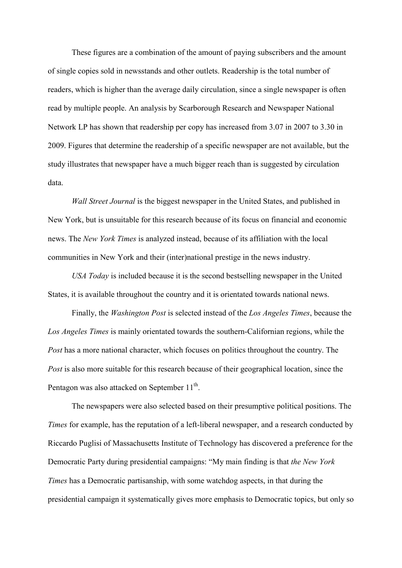These figures are a combination of the amount of paying subscribers and the amount of single copies sold in newsstands and other outlets. Readership is the total number of readers, which is higher than the average daily circulation, since a single newspaper is often read by multiple people. An analysis by Scarborough Research and Newspaper National Network LP has shown that readership per copy has increased from 3.07 in 2007 to 3.30 in 2009. Figures that determine the readership of a specific newspaper are not available, but the study illustrates that newspaper have a much bigger reach than is suggested by circulation data.

*Wall Street Journal* is the biggest newspaper in the United States, and published in New York, but is unsuitable for this research because of its focus on financial and economic news. The *New York Times* is analyzed instead, because of its affiliation with the local communities in New York and their (inter)national prestige in the news industry.

*USA Today* is included because it is the second bestselling newspaper in the United States, it is available throughout the country and it is orientated towards national news.

Finally, the *Washington Post* is selected instead of the *Los Angeles Times*, because the *Los Angeles Times* is mainly orientated towards the southern-Californian regions, while the *Post* has a more national character, which focuses on politics throughout the country. The *Post* is also more suitable for this research because of their geographical location, since the Pentagon was also attacked on September  $11<sup>th</sup>$ .

The newspapers were also selected based on their presumptive political positions. The *Times* for example, has the reputation of a left-liberal newspaper, and a research conducted by Riccardo Puglisi of Massachusetts Institute of Technology has discovered a preference for the Democratic Party during presidential campaigns: "My main finding is that *the New York Times* has a Democratic partisanship, with some watchdog aspects, in that during the presidential campaign it systematically gives more emphasis to Democratic topics, but only so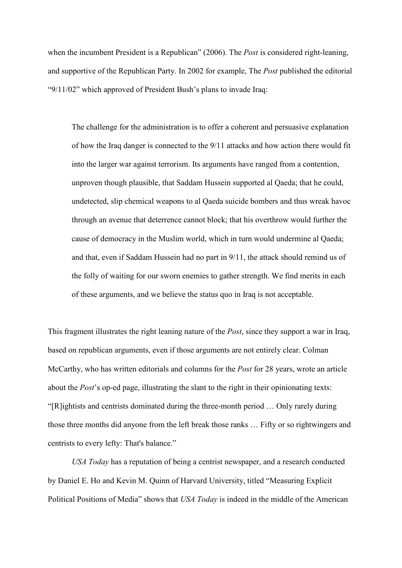when the incumbent President is a Republican" (2006). The *Post* is considered right-leaning, and supportive of the Republican Party. In 2002 for example, The *Post* published the editorial "9/11/02" which approved of President Bush's plans to invade Iraq:

The challenge for the administration is to offer a coherent and persuasive explanation of how the Iraq danger is connected to the 9/11 attacks and how action there would fit into the larger war against terrorism. Its arguments have ranged from a contention, unproven though plausible, that Saddam Hussein supported al Qaeda; that he could, undetected, slip chemical weapons to al Qaeda suicide bombers and thus wreak havoc through an avenue that deterrence cannot block; that his overthrow would further the cause of democracy in the Muslim world, which in turn would undermine al Qaeda; and that, even if Saddam Hussein had no part in 9/11, the attack should remind us of the folly of waiting for our sworn enemies to gather strength. We find merits in each of these arguments, and we believe the status quo in Iraq is not acceptable.

This fragment illustrates the right leaning nature of the *Post*, since they support a war in Iraq, based on republican arguments, even if those arguments are not entirely clear. Colman McCarthy, who has written editorials and columns for the *Post* for 28 years, wrote an article about the *Post*'s op-ed page, illustrating the slant to the right in their opinionating texts: "[R]ightists and centrists dominated during the three-month period … Only rarely during those three months did anyone from the left break those ranks … Fifty or so rightwingers and centrists to every lefty: That's balance."

*USA Today* has a reputation of being a centrist newspaper, and a research conducted by Daniel E. Ho and Kevin M. Quinn of Harvard University, titled "Measuring Explicit Political Positions of Media" shows that *USA Today* is indeed in the middle of the American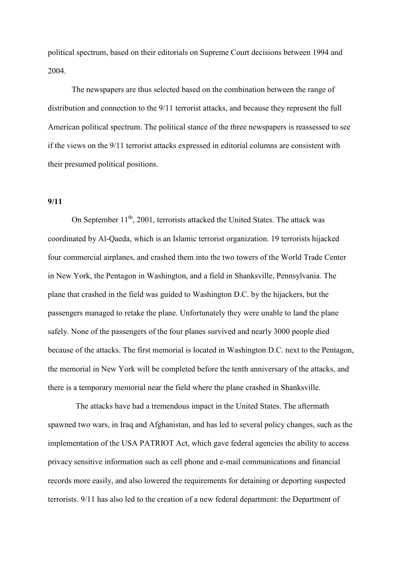political spectrum, based on their editorials on Supreme Court decisions between 1994 and 2004.

The newspapers are thus selected based on the combination between the range of distribution and connection to the 9/11 terrorist attacks, and because they represent the full American political spectrum. The political stance of the three newspapers is reassessed to see if the views on the 9/11 terrorist attacks expressed in editorial columns are consistent with their presumed political positions.

## **9/11**

On September  $11<sup>th</sup>$ , 2001, terrorists attacked the United States. The attack was coordinated by Al-Qaeda, which is an Islamic terrorist organization. 19 terrorists hijacked four commercial airplanes, and crashed them into the two towers of the World Trade Center in New York, the Pentagon in Washington, and a field in Shanksville, Pennsylvania. The plane that crashed in the field was guided to Washington D.C. by the hijackers, but the passengers managed to retake the plane. Unfortunately they were unable to land the plane safely. None of the passengers of the four planes survived and nearly 3000 people died because of the attacks. The first memorial is located in Washington D.C. next to the Pentagon, the memorial in New York will be completed before the tenth anniversary of the attacks, and there is a temporary memorial near the field where the plane crashed in Shanksville.

 The attacks have had a tremendous impact in the United States. The aftermath spawned two wars, in Iraq and Afghanistan, and has led to several policy changes, such as the implementation of the USA PATRIOT Act, which gave federal agencies the ability to access privacy sensitive information such as cell phone and e-mail communications and financial records more easily, and also lowered the requirements for detaining or deporting suspected terrorists. 9/11 has also led to the creation of a new federal department: the Department of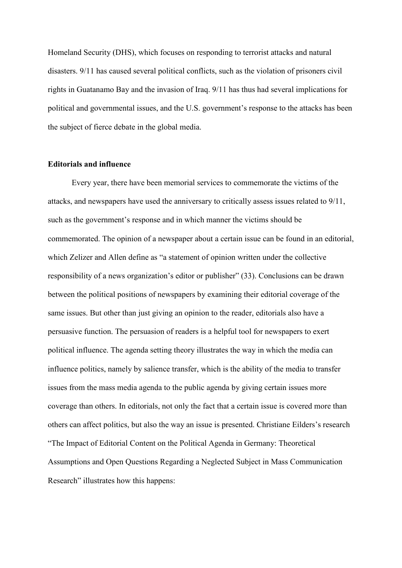Homeland Security (DHS), which focuses on responding to terrorist attacks and natural disasters. 9/11 has caused several political conflicts, such as the violation of prisoners civil rights in Guatanamo Bay and the invasion of Iraq. 9/11 has thus had several implications for political and governmental issues, and the U.S. government's response to the attacks has been the subject of fierce debate in the global media.

## **Editorials and influence**

Every year, there have been memorial services to commemorate the victims of the attacks, and newspapers have used the anniversary to critically assess issues related to 9/11, such as the government's response and in which manner the victims should be commemorated. The opinion of a newspaper about a certain issue can be found in an editorial, which Zelizer and Allen define as "a statement of opinion written under the collective responsibility of a news organization's editor or publisher" (33). Conclusions can be drawn between the political positions of newspapers by examining their editorial coverage of the same issues. But other than just giving an opinion to the reader, editorials also have a persuasive function. The persuasion of readers is a helpful tool for newspapers to exert political influence. The agenda setting theory illustrates the way in which the media can influence politics, namely by salience transfer, which is the ability of the media to transfer issues from the mass media agenda to the public agenda by giving certain issues more coverage than others. In editorials, not only the fact that a certain issue is covered more than others can affect politics, but also the way an issue is presented. Christiane Eilders's research "The Impact of Editorial Content on the Political Agenda in Germany: Theoretical Assumptions and Open Questions Regarding a Neglected Subject in Mass Communication Research" illustrates how this happens: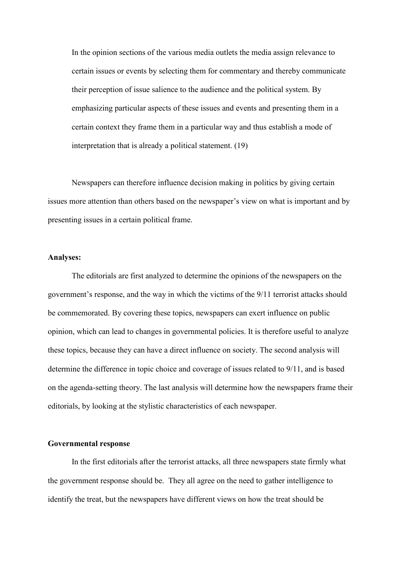In the opinion sections of the various media outlets the media assign relevance to certain issues or events by selecting them for commentary and thereby communicate their perception of issue salience to the audience and the political system. By emphasizing particular aspects of these issues and events and presenting them in a certain context they frame them in a particular way and thus establish a mode of interpretation that is already a political statement. (19)

Newspapers can therefore influence decision making in politics by giving certain issues more attention than others based on the newspaper's view on what is important and by presenting issues in a certain political frame.

## **Analyses:**

The editorials are first analyzed to determine the opinions of the newspapers on the government's response, and the way in which the victims of the 9/11 terrorist attacks should be commemorated. By covering these topics, newspapers can exert influence on public opinion, which can lead to changes in governmental policies. It is therefore useful to analyze these topics, because they can have a direct influence on society. The second analysis will determine the difference in topic choice and coverage of issues related to 9/11, and is based on the agenda-setting theory. The last analysis will determine how the newspapers frame their editorials, by looking at the stylistic characteristics of each newspaper.

## **Governmental response**

In the first editorials after the terrorist attacks, all three newspapers state firmly what the government response should be. They all agree on the need to gather intelligence to identify the treat, but the newspapers have different views on how the treat should be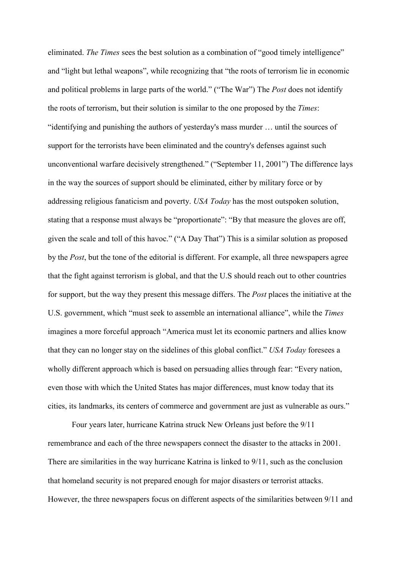eliminated. *The Times* sees the best solution as a combination of "good timely intelligence" and "light but lethal weapons", while recognizing that "the roots of terrorism lie in economic and political problems in large parts of the world." ("The War") The *Post* does not identify the roots of terrorism, but their solution is similar to the one proposed by the *Times*: "identifying and punishing the authors of yesterday's mass murder … until the sources of support for the terrorists have been eliminated and the country's defenses against such unconventional warfare decisively strengthened." ("September 11, 2001") The difference lays in the way the sources of support should be eliminated, either by military force or by addressing religious fanaticism and poverty. *USA Today* has the most outspoken solution, stating that a response must always be "proportionate": "By that measure the gloves are off, given the scale and toll of this havoc." ("A Day That") This is a similar solution as proposed by the *Post*, but the tone of the editorial is different. For example, all three newspapers agree that the fight against terrorism is global, and that the U.S should reach out to other countries for support, but the way they present this message differs. The *Post* places the initiative at the U.S. government, which "must seek to assemble an international alliance", while the *Times* imagines a more forceful approach "America must let its economic partners and allies know that they can no longer stay on the sidelines of this global conflict." *USA Today* foresees a wholly different approach which is based on persuading allies through fear: "Every nation, even those with which the United States has major differences, must know today that its cities, its landmarks, its centers of commerce and government are just as vulnerable as ours."

 Four years later, hurricane Katrina struck New Orleans just before the 9/11 remembrance and each of the three newspapers connect the disaster to the attacks in 2001. There are similarities in the way hurricane Katrina is linked to 9/11, such as the conclusion that homeland security is not prepared enough for major disasters or terrorist attacks. However, the three newspapers focus on different aspects of the similarities between 9/11 and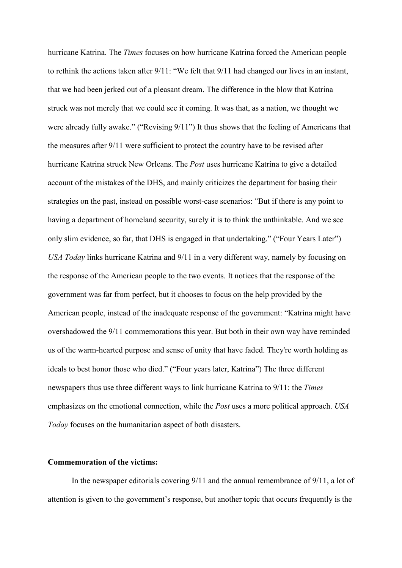hurricane Katrina. The *Times* focuses on how hurricane Katrina forced the American people to rethink the actions taken after 9/11: "We felt that 9/11 had changed our lives in an instant, that we had been jerked out of a pleasant dream. The difference in the blow that Katrina struck was not merely that we could see it coming. It was that, as a nation, we thought we were already fully awake." ("Revising 9/11") It thus shows that the feeling of Americans that the measures after 9/11 were sufficient to protect the country have to be revised after hurricane Katrina struck New Orleans. The *Post* uses hurricane Katrina to give a detailed account of the mistakes of the DHS, and mainly criticizes the department for basing their strategies on the past, instead on possible worst-case scenarios: "But if there is any point to having a department of homeland security, surely it is to think the unthinkable. And we see only slim evidence, so far, that DHS is engaged in that undertaking." ("Four Years Later") *USA Today* links hurricane Katrina and 9/11 in a very different way, namely by focusing on the response of the American people to the two events. It notices that the response of the government was far from perfect, but it chooses to focus on the help provided by the American people, instead of the inadequate response of the government: "Katrina might have overshadowed the 9/11 commemorations this year. But both in their own way have reminded us of the warm-hearted purpose and sense of unity that have faded. They're worth holding as ideals to best honor those who died." ("Four years later, Katrina") The three different newspapers thus use three different ways to link hurricane Katrina to 9/11: the *Times* emphasizes on the emotional connection, while the *Post* uses a more political approach. *USA Today* focuses on the humanitarian aspect of both disasters.

## **Commemoration of the victims:**

In the newspaper editorials covering 9/11 and the annual remembrance of 9/11, a lot of attention is given to the government's response, but another topic that occurs frequently is the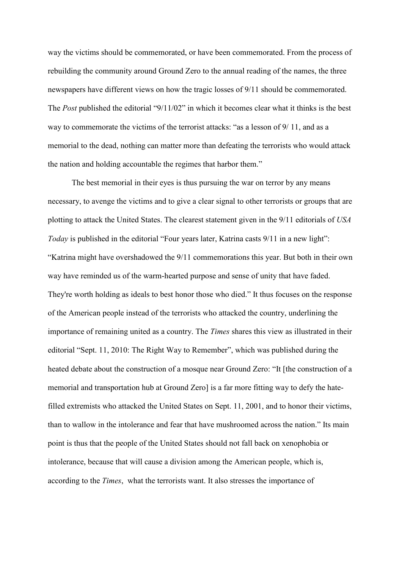way the victims should be commemorated, or have been commemorated. From the process of rebuilding the community around Ground Zero to the annual reading of the names, the three newspapers have different views on how the tragic losses of 9/11 should be commemorated. The *Post* published the editorial "9/11/02" in which it becomes clear what it thinks is the best way to commemorate the victims of the terrorist attacks: "as a lesson of  $9/11$ , and as a memorial to the dead, nothing can matter more than defeating the terrorists who would attack the nation and holding accountable the regimes that harbor them."

The best memorial in their eyes is thus pursuing the war on terror by any means necessary, to avenge the victims and to give a clear signal to other terrorists or groups that are plotting to attack the United States. The clearest statement given in the 9/11 editorials of *USA Today* is published in the editorial "Four years later, Katrina casts 9/11 in a new light": "Katrina might have overshadowed the 9/11 commemorations this year. But both in their own way have reminded us of the warm-hearted purpose and sense of unity that have faded. They're worth holding as ideals to best honor those who died." It thus focuses on the response of the American people instead of the terrorists who attacked the country, underlining the importance of remaining united as a country. The *Times* shares this view as illustrated in their editorial "Sept. 11, 2010: The Right Way to Remember", which was published during the heated debate about the construction of a mosque near Ground Zero: "It [the construction of a memorial and transportation hub at Ground Zero] is a far more fitting way to defy the hatefilled extremists who attacked the United States on Sept. 11, 2001, and to honor their victims, than to wallow in the intolerance and fear that have mushroomed across the nation." Its main point is thus that the people of the United States should not fall back on xenophobia or intolerance, because that will cause a division among the American people, which is, according to the *Times*, what the terrorists want. It also stresses the importance of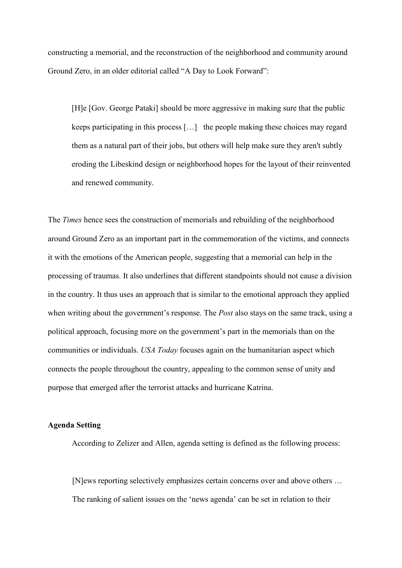constructing a memorial, and the reconstruction of the neighborhood and community around Ground Zero, in an older editorial called "A Day to Look Forward":

[H]e [Gov. George Pataki] should be more aggressive in making sure that the public keeps participating in this process […] the people making these choices may regard them as a natural part of their jobs, but others will help make sure they aren't subtly eroding the Libeskind design or neighborhood hopes for the layout of their reinvented and renewed community.

The *Times* hence sees the construction of memorials and rebuilding of the neighborhood around Ground Zero as an important part in the commemoration of the victims, and connects it with the emotions of the American people, suggesting that a memorial can help in the processing of traumas. It also underlines that different standpoints should not cause a division in the country. It thus uses an approach that is similar to the emotional approach they applied when writing about the government's response. The *Post* also stays on the same track, using a political approach, focusing more on the government's part in the memorials than on the communities or individuals. *USA Today* focuses again on the humanitarian aspect which connects the people throughout the country, appealing to the common sense of unity and purpose that emerged after the terrorist attacks and hurricane Katrina.

# **Agenda Setting**

According to Zelizer and Allen, agenda setting is defined as the following process:

[N]ews reporting selectively emphasizes certain concerns over and above others … The ranking of salient issues on the 'news agenda' can be set in relation to their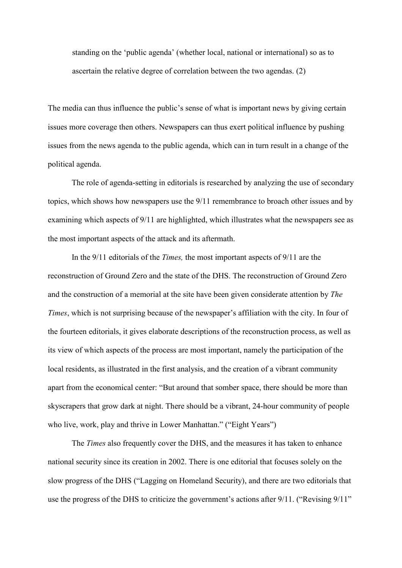standing on the 'public agenda' (whether local, national or international) so as to ascertain the relative degree of correlation between the two agendas. (2)

The media can thus influence the public's sense of what is important news by giving certain issues more coverage then others. Newspapers can thus exert political influence by pushing issues from the news agenda to the public agenda, which can in turn result in a change of the political agenda.

The role of agenda-setting in editorials is researched by analyzing the use of secondary topics, which shows how newspapers use the 9/11 remembrance to broach other issues and by examining which aspects of 9/11 are highlighted, which illustrates what the newspapers see as the most important aspects of the attack and its aftermath.

In the 9/11 editorials of the *Times,* the most important aspects of 9/11 are the reconstruction of Ground Zero and the state of the DHS. The reconstruction of Ground Zero and the construction of a memorial at the site have been given considerate attention by *The Times*, which is not surprising because of the newspaper's affiliation with the city. In four of the fourteen editorials, it gives elaborate descriptions of the reconstruction process, as well as its view of which aspects of the process are most important, namely the participation of the local residents, as illustrated in the first analysis, and the creation of a vibrant community apart from the economical center: "But around that somber space, there should be more than skyscrapers that grow dark at night. There should be a vibrant, 24-hour community of people who live, work, play and thrive in Lower Manhattan." ("Eight Years")

The *Times* also frequently cover the DHS, and the measures it has taken to enhance national security since its creation in 2002. There is one editorial that focuses solely on the slow progress of the DHS ("Lagging on Homeland Security), and there are two editorials that use the progress of the DHS to criticize the government's actions after 9/11. ("Revising 9/11"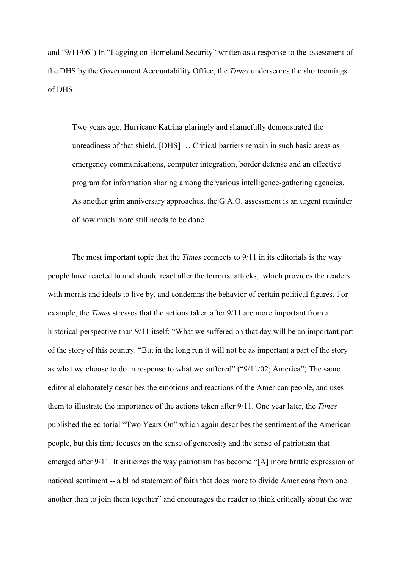and "9/11/06") In "Lagging on Homeland Security" written as a response to the assessment of the DHS by the Government Accountability Office, the *Times* underscores the shortcomings of DHS:

Two years ago, Hurricane Katrina glaringly and shamefully demonstrated the unreadiness of that shield. [DHS] … Critical barriers remain in such basic areas as emergency communications, computer integration, border defense and an effective program for information sharing among the various intelligence-gathering agencies. As another grim anniversary approaches, the G.A.O. assessment is an urgent reminder of how much more still needs to be done.

The most important topic that the *Times* connects to 9/11 in its editorials is the way people have reacted to and should react after the terrorist attacks, which provides the readers with morals and ideals to live by, and condemns the behavior of certain political figures. For example, the *Times* stresses that the actions taken after 9/11 are more important from a historical perspective than 9/11 itself: "What we suffered on that day will be an important part of the story of this country. "But in the long run it will not be as important a part of the story as what we choose to do in response to what we suffered" ("9/11/02; America") The same editorial elaborately describes the emotions and reactions of the American people, and uses them to illustrate the importance of the actions taken after 9/11. One year later, the *Times* published the editorial "Two Years On" which again describes the sentiment of the American people, but this time focuses on the sense of generosity and the sense of patriotism that emerged after 9/11. It criticizes the way patriotism has become "[A] more brittle expression of national sentiment -- a blind statement of faith that does more to divide Americans from one another than to join them together" and encourages the reader to think critically about the war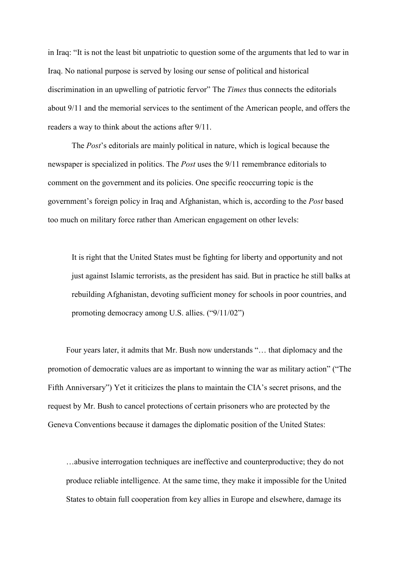in Iraq: "It is not the least bit unpatriotic to question some of the arguments that led to war in Iraq. No national purpose is served by losing our sense of political and historical discrimination in an upwelling of patriotic fervor" The *Times* thus connects the editorials about 9/11 and the memorial services to the sentiment of the American people, and offers the readers a way to think about the actions after 9/11.

The *Post*'s editorials are mainly political in nature, which is logical because the newspaper is specialized in politics. The *Post* uses the 9/11 remembrance editorials to comment on the government and its policies. One specific reoccurring topic is the government's foreign policy in Iraq and Afghanistan, which is, according to the *Post* based too much on military force rather than American engagement on other levels:

It is right that the United States must be fighting for liberty and opportunity and not just against Islamic terrorists, as the president has said. But in practice he still balks at rebuilding Afghanistan, devoting sufficient money for schools in poor countries, and promoting democracy among U.S. allies. ("9/11/02")

Four years later, it admits that Mr. Bush now understands "… that diplomacy and the promotion of democratic values are as important to winning the war as military action" ("The Fifth Anniversary") Yet it criticizes the plans to maintain the CIA's secret prisons, and the request by Mr. Bush to cancel protections of certain prisoners who are protected by the Geneva Conventions because it damages the diplomatic position of the United States:

…abusive interrogation techniques are ineffective and counterproductive; they do not produce reliable intelligence. At the same time, they make it impossible for the United States to obtain full cooperation from key allies in Europe and elsewhere, damage its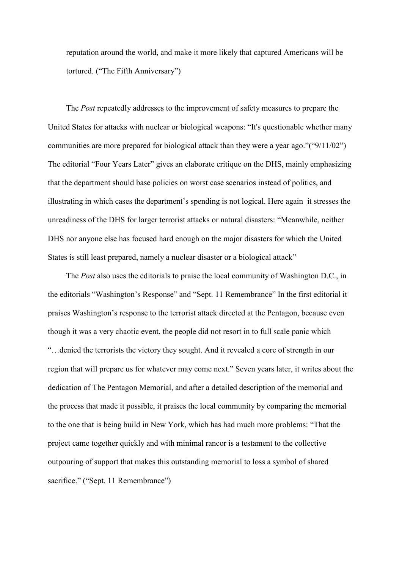reputation around the world, and make it more likely that captured Americans will be tortured. ("The Fifth Anniversary")

The *Post* repeatedly addresses to the improvement of safety measures to prepare the United States for attacks with nuclear or biological weapons: "It's questionable whether many communities are more prepared for biological attack than they were a year ago."("9/11/02") The editorial "Four Years Later" gives an elaborate critique on the DHS, mainly emphasizing that the department should base policies on worst case scenarios instead of politics, and illustrating in which cases the department's spending is not logical. Here again it stresses the unreadiness of the DHS for larger terrorist attacks or natural disasters: "Meanwhile, neither DHS nor anyone else has focused hard enough on the major disasters for which the United States is still least prepared, namely a nuclear disaster or a biological attack"

The *Post* also uses the editorials to praise the local community of Washington D.C., in the editorials "Washington's Response" and "Sept. 11 Remembrance" In the first editorial it praises Washington's response to the terrorist attack directed at the Pentagon, because even though it was a very chaotic event, the people did not resort in to full scale panic which "…denied the terrorists the victory they sought. And it revealed a core of strength in our region that will prepare us for whatever may come next." Seven years later, it writes about the dedication of The Pentagon Memorial, and after a detailed description of the memorial and the process that made it possible, it praises the local community by comparing the memorial to the one that is being build in New York, which has had much more problems: "That the project came together quickly and with minimal rancor is a testament to the collective outpouring of support that makes this outstanding memorial to loss a symbol of shared sacrifice." ("Sept. 11 Remembrance")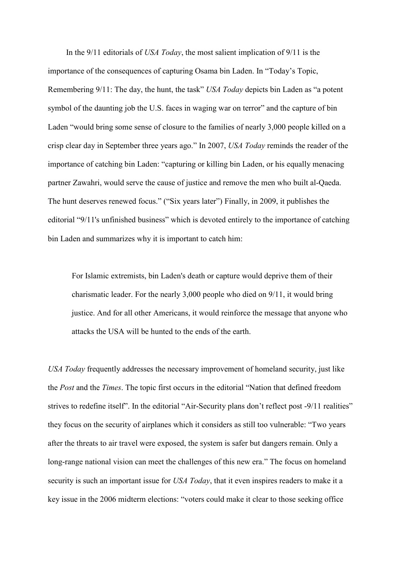In the 9/11 editorials of *USA Today*, the most salient implication of 9/11 is the importance of the consequences of capturing Osama bin Laden. In "Today's Topic, Remembering 9/11: The day, the hunt, the task" *USA Today* depicts bin Laden as "a potent symbol of the daunting job the U.S. faces in waging war on terror" and the capture of bin Laden "would bring some sense of closure to the families of nearly 3,000 people killed on a crisp clear day in September three years ago." In 2007, *USA Today* reminds the reader of the importance of catching bin Laden: "capturing or killing bin Laden, or his equally menacing partner Zawahri, would serve the cause of justice and remove the men who built al-Qaeda. The hunt deserves renewed focus." ("Six years later") Finally, in 2009, it publishes the editorial "9/11's unfinished business" which is devoted entirely to the importance of catching bin Laden and summarizes why it is important to catch him:

For Islamic extremists, bin Laden's death or capture would deprive them of their charismatic leader. For the nearly 3,000 people who died on 9/11, it would bring justice. And for all other Americans, it would reinforce the message that anyone who attacks the USA will be hunted to the ends of the earth.

*USA Today* frequently addresses the necessary improvement of homeland security, just like the *Post* and the *Times*. The topic first occurs in the editorial "Nation that defined freedom strives to redefine itself". In the editorial "Air-Security plans don't reflect post -9/11 realities" they focus on the security of airplanes which it considers as still too vulnerable: "Two years after the threats to air travel were exposed, the system is safer but dangers remain. Only a long-range national vision can meet the challenges of this new era." The focus on homeland security is such an important issue for *USA Today*, that it even inspires readers to make it a key issue in the 2006 midterm elections: "voters could make it clear to those seeking office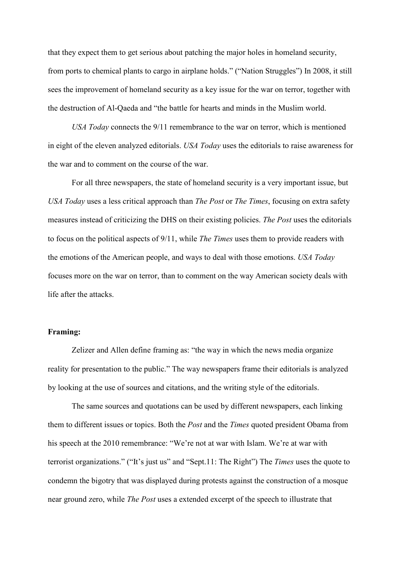that they expect them to get serious about patching the major holes in homeland security, from ports to chemical plants to cargo in airplane holds." ("Nation Struggles") In 2008, it still sees the improvement of homeland security as a key issue for the war on terror, together with the destruction of Al-Qaeda and "the battle for hearts and minds in the Muslim world.

*USA Today* connects the 9/11 remembrance to the war on terror, which is mentioned in eight of the eleven analyzed editorials. *USA Today* uses the editorials to raise awareness for the war and to comment on the course of the war.

For all three newspapers, the state of homeland security is a very important issue, but *USA Today* uses a less critical approach than *The Post* or *The Times*, focusing on extra safety measures instead of criticizing the DHS on their existing policies. *The Post* uses the editorials to focus on the political aspects of 9/11, while *The Times* uses them to provide readers with the emotions of the American people, and ways to deal with those emotions. *USA Today*  focuses more on the war on terror, than to comment on the way American society deals with life after the attacks.

## **Framing:**

Zelizer and Allen define framing as: "the way in which the news media organize reality for presentation to the public." The way newspapers frame their editorials is analyzed by looking at the use of sources and citations, and the writing style of the editorials.

 The same sources and quotations can be used by different newspapers, each linking them to different issues or topics. Both the *Post* and the *Times* quoted president Obama from his speech at the 2010 remembrance: "We're not at war with Islam. We're at war with terrorist organizations." ("It's just us" and "Sept.11: The Right") The *Times* uses the quote to condemn the bigotry that was displayed during protests against the construction of a mosque near ground zero, while *The Post* uses a extended excerpt of the speech to illustrate that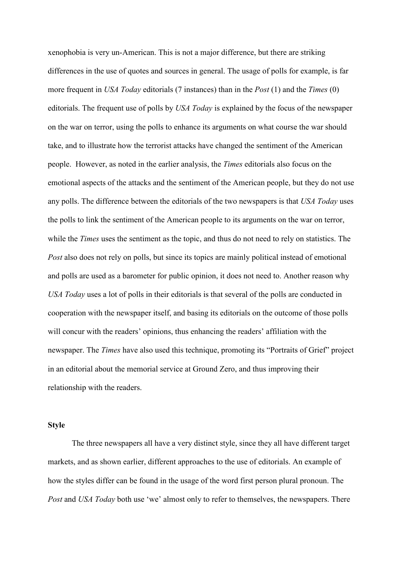xenophobia is very un-American. This is not a major difference, but there are striking differences in the use of quotes and sources in general. The usage of polls for example, is far more frequent in *USA Today* editorials (7 instances) than in the *Post* (1) and the *Times* (0) editorials. The frequent use of polls by *USA Today* is explained by the focus of the newspaper on the war on terror, using the polls to enhance its arguments on what course the war should take, and to illustrate how the terrorist attacks have changed the sentiment of the American people. However, as noted in the earlier analysis, the *Times* editorials also focus on the emotional aspects of the attacks and the sentiment of the American people, but they do not use any polls. The difference between the editorials of the two newspapers is that *USA Today* uses the polls to link the sentiment of the American people to its arguments on the war on terror, while the *Times* uses the sentiment as the topic, and thus do not need to rely on statistics. The *Post* also does not rely on polls, but since its topics are mainly political instead of emotional and polls are used as a barometer for public opinion, it does not need to. Another reason why *USA Today* uses a lot of polls in their editorials is that several of the polls are conducted in cooperation with the newspaper itself, and basing its editorials on the outcome of those polls will concur with the readers' opinions, thus enhancing the readers' affiliation with the newspaper. The *Times* have also used this technique, promoting its "Portraits of Grief" project in an editorial about the memorial service at Ground Zero, and thus improving their relationship with the readers.

## **Style**

 The three newspapers all have a very distinct style, since they all have different target markets, and as shown earlier, different approaches to the use of editorials. An example of how the styles differ can be found in the usage of the word first person plural pronoun. The *Post and USA Today both use 'we' almost only to refer to themselves, the newspapers. There*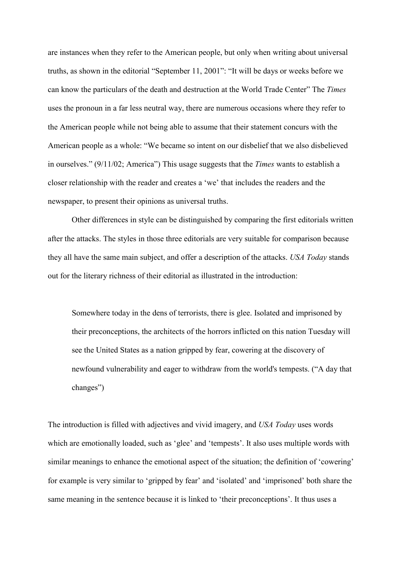are instances when they refer to the American people, but only when writing about universal truths, as shown in the editorial "September 11, 2001": "It will be days or weeks before we can know the particulars of the death and destruction at the World Trade Center" The *Times*  uses the pronoun in a far less neutral way, there are numerous occasions where they refer to the American people while not being able to assume that their statement concurs with the American people as a whole: "We became so intent on our disbelief that we also disbelieved in ourselves." (9/11/02; America") This usage suggests that the *Times* wants to establish a closer relationship with the reader and creates a 'we' that includes the readers and the newspaper, to present their opinions as universal truths.

Other differences in style can be distinguished by comparing the first editorials written after the attacks. The styles in those three editorials are very suitable for comparison because they all have the same main subject, and offer a description of the attacks. *USA Today* stands out for the literary richness of their editorial as illustrated in the introduction:

Somewhere today in the dens of terrorists, there is glee. Isolated and imprisoned by their preconceptions, the architects of the horrors inflicted on this nation Tuesday will see the United States as a nation gripped by fear, cowering at the discovery of newfound vulnerability and eager to withdraw from the world's tempests. ("A day that changes")

The introduction is filled with adjectives and vivid imagery, and *USA Today* uses words which are emotionally loaded, such as 'glee' and 'tempests'. It also uses multiple words with similar meanings to enhance the emotional aspect of the situation; the definition of 'cowering' for example is very similar to 'gripped by fear' and 'isolated' and 'imprisoned' both share the same meaning in the sentence because it is linked to 'their preconceptions'. It thus uses a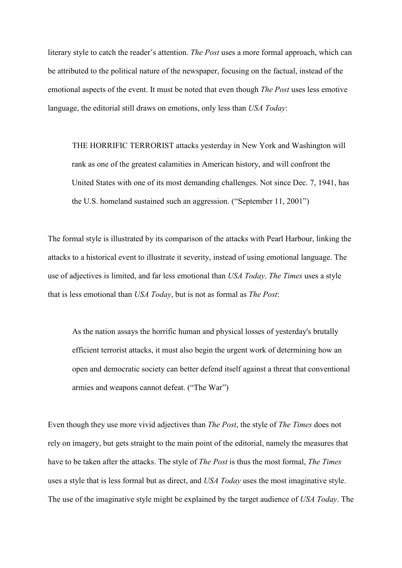literary style to catch the reader's attention. *The Post* uses a more formal approach, which can be attributed to the political nature of the newspaper, focusing on the factual, instead of the emotional aspects of the event. It must be noted that even though *The Post* uses less emotive language, the editorial still draws on emotions, only less than *USA Today*:

 THE HORRIFIC TERRORIST attacks yesterday in New York and Washington will rank as one of the greatest calamities in American history, and will confront the United States with one of its most demanding challenges. Not since Dec. 7, 1941, has the U.S. homeland sustained such an aggression. ("September 11, 2001")

The formal style is illustrated by its comparison of the attacks with Pearl Harbour, linking the attacks to a historical event to illustrate it severity, instead of using emotional language. The use of adjectives is limited, and far less emotional than *USA Today*. *The Times* uses a style that is less emotional than *USA Today*, but is not as formal as *The Post*:

As the nation assays the horrific human and physical losses of yesterday's brutally efficient terrorist attacks, it must also begin the urgent work of determining how an open and democratic society can better defend itself against a threat that conventional armies and weapons cannot defeat. ("The War")

Even though they use more vivid adjectives than *The Post*, the style of *The Times* does not rely on imagery, but gets straight to the main point of the editorial, namely the measures that have to be taken after the attacks. The style of *The Post* is thus the most formal, *The Times*  uses a style that is less formal but as direct, and *USA Today* uses the most imaginative style. The use of the imaginative style might be explained by the target audience of *USA Today*. The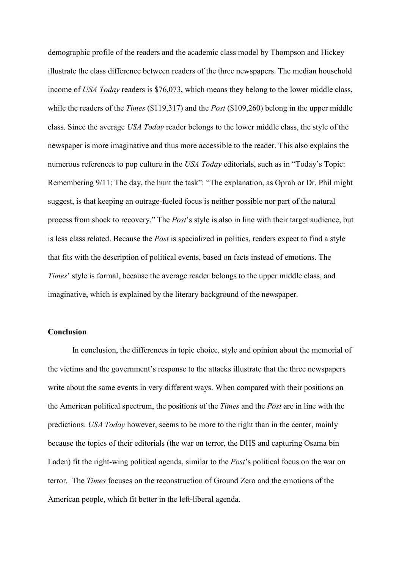demographic profile of the readers and the academic class model by Thompson and Hickey illustrate the class difference between readers of the three newspapers. The median household income of *USA Today* readers is \$76,073, which means they belong to the lower middle class, while the readers of the *Times* (\$119,317) and the *Post* (\$109,260) belong in the upper middle class. Since the average *USA Today* reader belongs to the lower middle class, the style of the newspaper is more imaginative and thus more accessible to the reader. This also explains the numerous references to pop culture in the *USA Today* editorials, such as in "Today's Topic: Remembering 9/11: The day, the hunt the task": "The explanation, as Oprah or Dr. Phil might suggest, is that keeping an outrage-fueled focus is neither possible nor part of the natural process from shock to recovery." The *Post*'s style is also in line with their target audience, but is less class related. Because the *Post* is specialized in politics, readers expect to find a style that fits with the description of political events, based on facts instead of emotions. The *Times*' style is formal, because the average reader belongs to the upper middle class, and imaginative, which is explained by the literary background of the newspaper.

## **Conclusion**

 In conclusion, the differences in topic choice, style and opinion about the memorial of the victims and the government's response to the attacks illustrate that the three newspapers write about the same events in very different ways. When compared with their positions on the American political spectrum, the positions of the *Times* and the *Post* are in line with the predictions. *USA Today* however, seems to be more to the right than in the center, mainly because the topics of their editorials (the war on terror, the DHS and capturing Osama bin Laden) fit the right-wing political agenda, similar to the *Post*'s political focus on the war on terror. The *Times* focuses on the reconstruction of Ground Zero and the emotions of the American people, which fit better in the left-liberal agenda.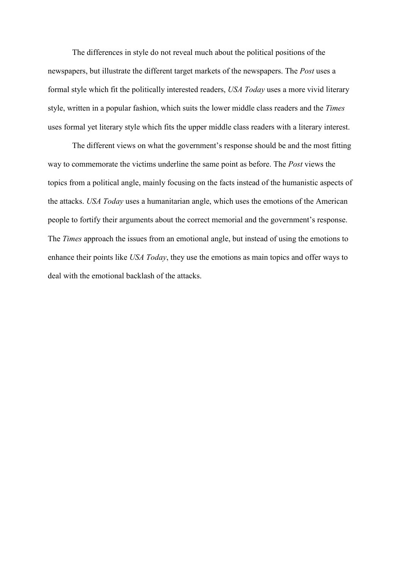The differences in style do not reveal much about the political positions of the newspapers, but illustrate the different target markets of the newspapers. The *Post* uses a formal style which fit the politically interested readers, *USA Today* uses a more vivid literary style, written in a popular fashion, which suits the lower middle class readers and the *Times* uses formal yet literary style which fits the upper middle class readers with a literary interest.

 The different views on what the government's response should be and the most fitting way to commemorate the victims underline the same point as before. The *Post* views the topics from a political angle, mainly focusing on the facts instead of the humanistic aspects of the attacks. *USA Today* uses a humanitarian angle, which uses the emotions of the American people to fortify their arguments about the correct memorial and the government's response. The *Times* approach the issues from an emotional angle, but instead of using the emotions to enhance their points like *USA Today*, they use the emotions as main topics and offer ways to deal with the emotional backlash of the attacks.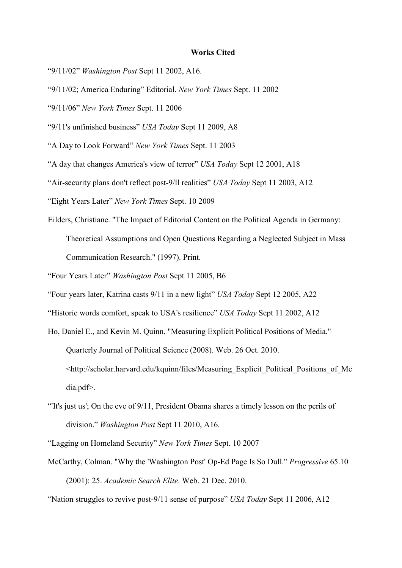#### **Works Cited**

- "9/11/02" *Washington Post* Sept 11 2002, A16.
- "9/11/02; America Enduring" Editorial. *New York Times* Sept. 11 2002
- "9/11/06" *New York Times* Sept. 11 2006
- "9/11's unfinished business" *USA Today* Sept 11 2009, A8
- "A Day to Look Forward" *New York Times* Sept. 11 2003
- "A day that changes America's view of terror" *USA Today* Sept 12 2001, A18
- "Air-security plans don't reflect post-9/ll realities" *USA Today* Sept 11 2003, A12
- "Eight Years Later" *New York Times* Sept. 10 2009
- Eilders, Christiane. "The Impact of Editorial Content on the Political Agenda in Germany: Theoretical Assumptions and Open Questions Regarding a Neglected Subject in Mass Communication Research." (1997). Print.
- "Four Years Later" *Washington Post* Sept 11 2005, B6
- "Four years later, Katrina casts 9/11 in a new light" *USA Today* Sept 12 2005, A22
- "Historic words comfort, speak to USA's resilience" *USA Today* Sept 11 2002, A12
- Ho, Daniel E., and Kevin M. Quinn. "Measuring Explicit Political Positions of Media." Quarterly Journal of Political Science (2008). Web. 26 Oct. 2010. <http://scholar.harvard.edu/kquinn/files/Measuring\_Explicit\_Political\_Positions\_of\_Me dia.pdf>.
- "'It's just us'; On the eve of 9/11, President Obama shares a timely lesson on the perils of division." *Washington Post* Sept 11 2010, A16.

"Lagging on Homeland Security" *New York Times* Sept. 10 2007

- McCarthy, Colman. "Why the 'Washington Post' Op-Ed Page Is So Dull." *Progressive* 65.10 (2001): 25. *Academic Search Elite*. Web. 21 Dec. 2010.
- "Nation struggles to revive post-9/11 sense of purpose" *USA Today* Sept 11 2006, A12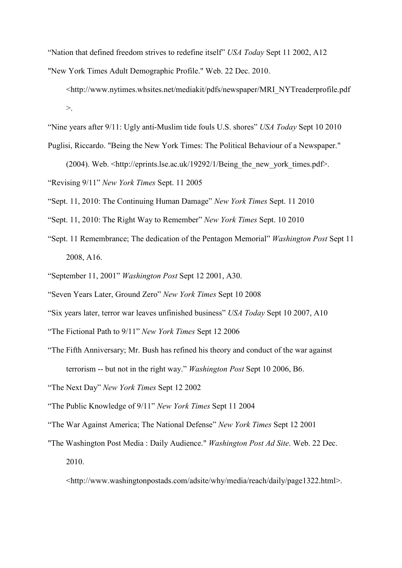"Nation that defined freedom strives to redefine itself" *USA Today* Sept 11 2002, A12

"New York Times Adult Demographic Profile." Web. 22 Dec. 2010.

<http://www.nytimes.whsites.net/mediakit/pdfs/newspaper/MRI\_NYTreaderprofile.pdf >.

"Nine years after 9/11: Ugly anti-Muslim tide fouls U.S. shores" *USA Today* Sept 10 2010

Puglisi, Riccardo. "Being the New York Times: The Political Behaviour of a Newspaper."

(2004). Web. <http://eprints.lse.ac.uk/19292/1/Being\_the\_new\_york\_times.pdf>.

"Revising 9/11" *New York Times* Sept. 11 2005

"Sept. 11, 2010: The Continuing Human Damage" *New York Times* Sept. 11 2010

- "Sept. 11, 2010: The Right Way to Remember" *New York Times* Sept. 10 2010
- "Sept. 11 Remembrance; The dedication of the Pentagon Memorial" *Washington Post* Sept 11 2008, A16.
- "September 11, 2001" *Washington Post* Sept 12 2001, A30.
- "Seven Years Later, Ground Zero" *New York Times* Sept 10 2008
- "Six years later, terror war leaves unfinished business" *USA Today* Sept 10 2007, A10
- "The Fictional Path to 9/11" *New York Times* Sept 12 2006
- "The Fifth Anniversary; Mr. Bush has refined his theory and conduct of the war against terrorism -- but not in the right way." *Washington Post* Sept 10 2006, B6.
- "The Next Day" *New York Times* Sept 12 2002
- "The Public Knowledge of 9/11" *New York Times* Sept 11 2004
- "The War Against America; The National Defense" *New York Times* Sept 12 2001
- "The Washington Post Media : Daily Audience." *Washington Post Ad Site*. Web. 22 Dec. 2010.

<http://www.washingtonpostads.com/adsite/why/media/reach/daily/page1322.html>.